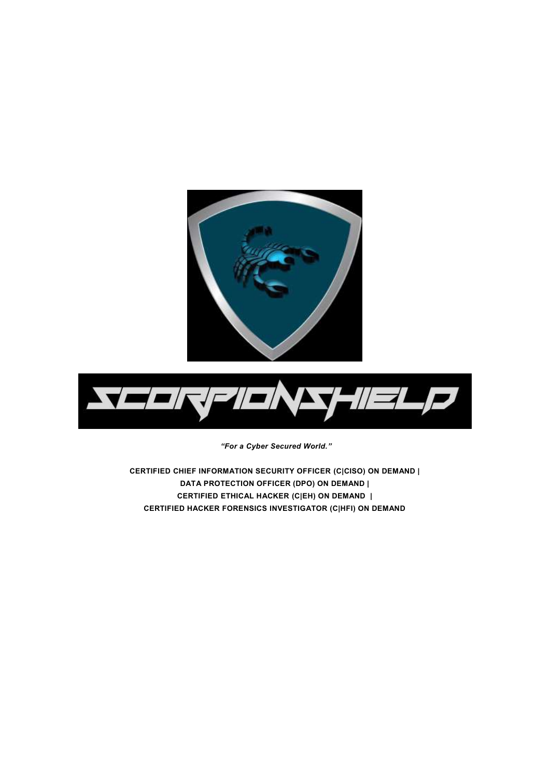



*"For a Cyber Secured World."*

**CERTIFIED CHIEF INFORMATION SECURITY OFFICER (C|CISO) ON DEMAND | DATA PROTECTION OFFICER (DPO) ON DEMAND | CERTIFIED ETHICAL HACKER (C|EH) ON DEMAND | CERTIFIED HACKER FORENSICS INVESTIGATOR (C|HFI) ON DEMAND**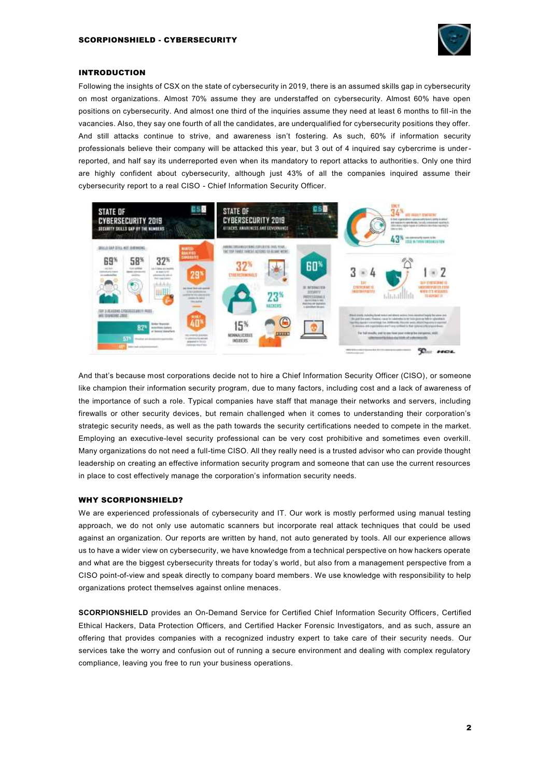

## INTRODUCTION

Following the insights of CSX on the state of cybersecurity in 2019, there is an assumed skills gap in cybersecurity on most organizations. Almost 70% assume they are understaffed on cybersecurity. Almost 60% have open positions on cybersecurity. And almost one third of the inquiries assume they need at least 6 months to fill-in the vacancies. Also, they say one fourth of all the candidates, are underqualified for cybersecurity positions they offer. And still attacks continue to strive, and awareness isn't fostering. As such, 60% if information security professionals believe their company will be attacked this year, but 3 out of 4 inquired say cybercrime is underreported, and half say its underreported even when its mandatory to report attacks to authorities. Only one third are highly confident about cybersecurity, although just 43% of all the companies inquired assume their cybersecurity report to a real CISO - Chief Information Security Officer.



And that's because most corporations decide not to hire a Chief Information Security Officer (CISO), or someone like champion their information security program, due to many factors, including cost and a lack of awareness of the importance of such a role. Typical companies have staff that manage their networks and servers, including firewalls or other security devices, but remain challenged when it comes to understanding their corporation's strategic security needs, as well as the path towards the security certifications needed to compete in the market. Employing an executive-level security professional can be very cost prohibitive and sometimes even overkill. Many organizations do not need a full-time CISO. All they really need is a trusted advisor who can provide thought leadership on creating an effective information security program and someone that can use the current resources in place to cost effectively manage the corporation's information security needs.

### WHY SCORPIONSHIFLD?

We are experienced professionals of cybersecurity and IT. Our work is mostly performed using manual testing approach, we do not only use automatic scanners but incorporate real attack techniques that could be used against an organization. Our reports are written by hand, not auto generated by tools. All our experience allows us to have a wider view on cybersecurity, we have knowledge from a technical perspective on how hackers operate and what are the biggest cybersecurity threats for today's world, but also from a management perspective from a CISO point-of-view and speak directly to company board members. We use knowledge with responsibility to help organizations protect themselves against online menaces.

**SCORPIONSHIELD** provides an On-Demand Service for Certified Chief Information Security Officers, Certified Ethical Hackers, Data Protection Officers, and Certified Hacker Forensic Investigators, and as such, assure an offering that provides companies with a recognized industry expert to take care of their security needs. Our services take the worry and confusion out of running a secure environment and dealing with complex regulatory compliance, leaving you free to run your business operations.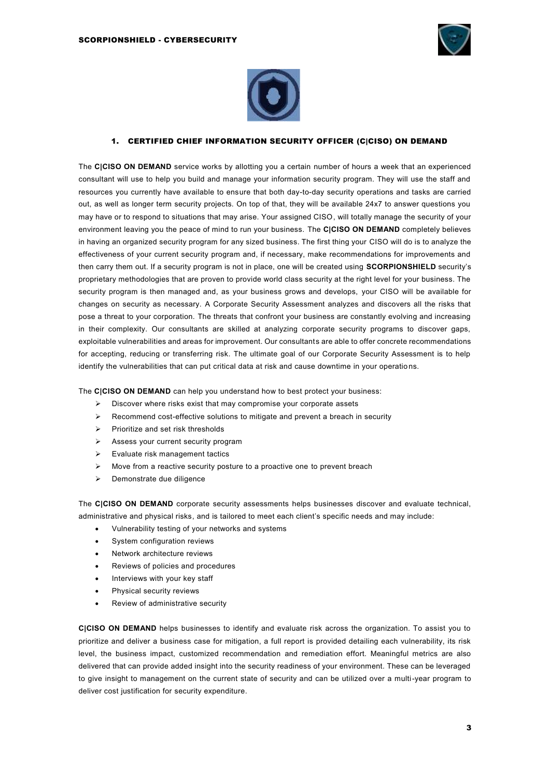



# 1. CERTIFIED CHIEF INFORMATION SECURITY OFFICER (C|CISO) ON DEMAND

The **C|CISO ON DEMAND** service works by allotting you a certain number of hours a week that an experienced consultant will use to help you build and manage your information security program. They will use the staff and resources you currently have available to ensure that both day-to-day security operations and tasks are carried out, as well as longer term security projects. On top of that, they will be available 24x7 to answer questions you may have or to respond to situations that may arise. Your assigned CISO, will totally manage the security of your environment leaving you the peace of mind to run your business. The **C|CISO ON DEMAND** completely believes in having an organized security program for any sized business. The first thing your CISO will do is to analyze the effectiveness of your current security program and, if necessary, make recommendations for improvements and then carry them out. If a security program is not in place, one will be created using **SCORPIONSHIELD** security's proprietary methodologies that are proven to provide world class security at the right level for your business. The security program is then managed and, as your business grows and develops, your CISO will be available for changes on security as necessary. A Corporate Security Assessment analyzes and discovers all the risks that pose a threat to your corporation. The threats that confront your business are constantly evolving and increasing in their complexity. Our consultants are skilled at analyzing corporate security programs to discover gaps, exploitable vulnerabilities and areas for improvement. Our consultants are able to offer concrete recommendations for accepting, reducing or transferring risk. The ultimate goal of our Corporate Security Assessment is to help identify the vulnerabilities that can put critical data at risk and cause downtime in your operatio ns.

The **C|CISO ON DEMAND** can help you understand how to best protect your business:

- ➢ Discover where risks exist that may compromise your corporate assets
- $\triangleright$  Recommend cost-effective solutions to mitigate and prevent a breach in security
- ➢ Prioritize and set risk thresholds
- ➢ Assess your current security program
- ➢ Evaluate risk management tactics
- ➢ Move from a reactive security posture to a proactive one to prevent breach
- ➢ Demonstrate due diligence

The **C|CISO ON DEMAND** corporate security assessments helps businesses discover and evaluate technical, administrative and physical risks, and is tailored to meet each client's specific needs and may include:

- Vulnerability testing of your networks and systems
- System configuration reviews
- Network architecture reviews
- Reviews of policies and procedures
- Interviews with your key staff
- Physical security reviews
- Review of administrative security

**C|CISO ON DEMAND** helps businesses to identify and evaluate risk across the organization. To assist you to prioritize and deliver a business case for mitigation, a full report is provided detailing each vulnerability, its risk level, the business impact, customized recommendation and remediation effort. Meaningful metrics are also delivered that can provide added insight into the security readiness of your environment. These can be leveraged to give insight to management on the current state of security and can be utilized over a multi-year program to deliver cost justification for security expenditure.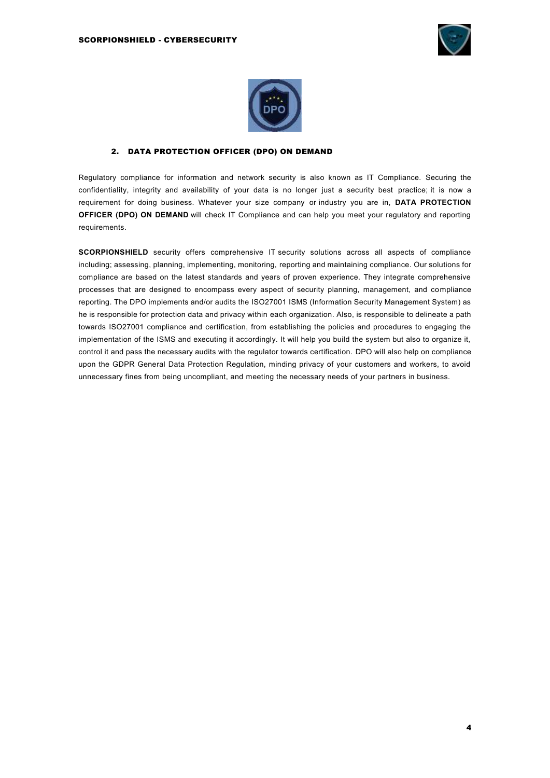



## 2. DATA PROTECTION OFFICER (DPO) ON DEMAND

Regulatory compliance for information and network security is also known as IT Compliance. Securing the confidentiality, integrity and availability of your data is no longer just a security best practice; it is now a requirement for doing business. Whatever your size company or industry you are in, **DATA PROTECTION OFFICER (DPO) ON DEMAND** will check IT Compliance and can help you meet your regulatory and reporting requirements.

**SCORPIONSHIELD** security offers comprehensive IT security solutions across all aspects of compliance including; assessing, planning, implementing, monitoring, reporting and maintaining compliance. Our solutions for compliance are based on the latest standards and years of proven experience. They integrate comprehensive processes that are designed to encompass every aspect of security planning, management, and compliance reporting. The DPO implements and/or audits the ISO27001 ISMS (Information Security Management System) as he is responsible for protection data and privacy within each organization. Also, is responsible to delineate a path towards ISO27001 compliance and certification, from establishing the policies and procedures to engaging the implementation of the ISMS and executing it accordingly. It will help you build the system but also to organize it, control it and pass the necessary audits with the regulator towards certification. DPO will also help on compliance upon the GDPR General Data Protection Regulation, minding privacy of your customers and workers, to avoid unnecessary fines from being uncompliant, and meeting the necessary needs of your partners in business.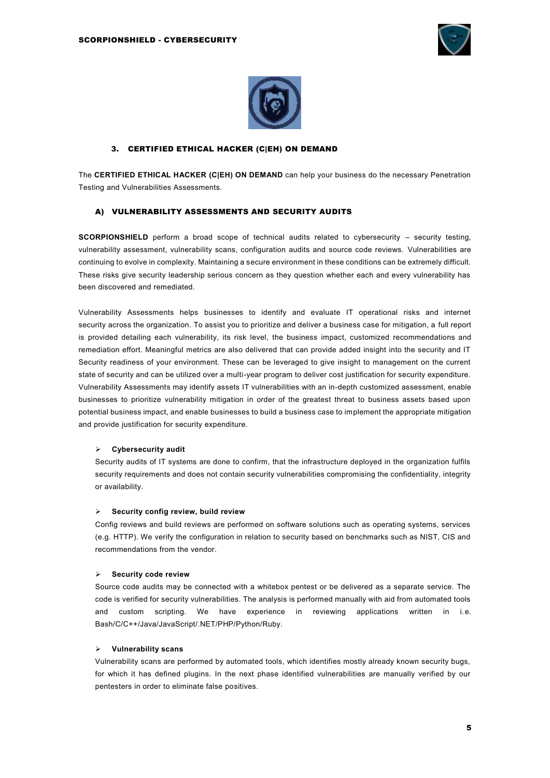



## 3. CERTIFIED ETHICAL HACKER (C|EH) ON DEMAND

The **CERTIFIED ETHICAL HACKER (C|EH) ON DEMAND** can help your business do the necessary Penetration Testing and Vulnerabilities Assessments.

#### A) VULNERABILITY ASSESSMENTS AND SECURITY AUDITS

**SCORPIONSHIELD** perform a broad scope of technical audits related to cybersecurity – security testing, vulnerability assessment, vulnerability scans, configuration audits and source code reviews. [Vulnerabilities are](https://www.trojanhorsesecurity.com/ciso-on-demand-virtual-ciso)  [continuing to evolve in complexity. Maintaining a secure environment in these conditions can be extremely difficult.](https://www.trojanhorsesecurity.com/ciso-on-demand-virtual-ciso)  [These risks give security leadership serious concern as they question whether each and every vulnerability has](https://www.trojanhorsesecurity.com/ciso-on-demand-virtual-ciso)  [been discovered and remediated.](https://www.trojanhorsesecurity.com/ciso-on-demand-virtual-ciso)

Vulnerability Assessments helps businesses to identify and evaluate IT operational risks and internet security across the organization. To assist you to prioritize and deliver a business case for mitigation, a full report is provided detailing each vulnerability, its risk level, the business impact, customized recommendations and remediation effort. Meaningful metrics are also delivered that can provide added insight into the security and IT Security readiness of your environment. These can be leveraged to give insight to management on the current state of security and can be utilized over a multi-year program to deliver cost justification for security expenditure. Vulnerability Assessments may identify assets IT vulnerabilities with an in-depth customized assessment, enable businesses to prioritize vulnerability mitigation in order of the greatest threat to business assets based upon potential business impact, and enable businesses to build a business case to implement the appropriate mitigation and provide justification for security expenditure.

#### ➢ **Cybersecurity audit**

Security audits of IT systems are done to confirm, that the infrastructure deployed in the organization fulfils security requirements and does not contain security vulnerabilities compromising the confidentiality, integrity or availability.

#### ➢ **Security config review, build review**

Config reviews and build reviews are performed on software solutions such as operating systems, services (e.g. HTTP). We verify the configuration in relation to security based on benchmarks such as NIST, CIS and recommendations from the vendor.

#### ➢ **Security code review**

Source code audits may be connected with a whitebox pentest or be delivered as a separate service. The code is verified for security vulnerabilities. The analysis is performed manually with aid from automated tools and custom scripting. We have experience in reviewing applications written in i.e. Bash/C/C++/Java/JavaScript/.NET/PHP/Python/Ruby.

### ➢ **Vulnerability scans**

Vulnerability scans are performed by automated tools, which identifies mostly already known security bugs, for which it has defined plugins. In the next phase identified vulnerabilities are manually verified by our pentesters in order to eliminate false positives.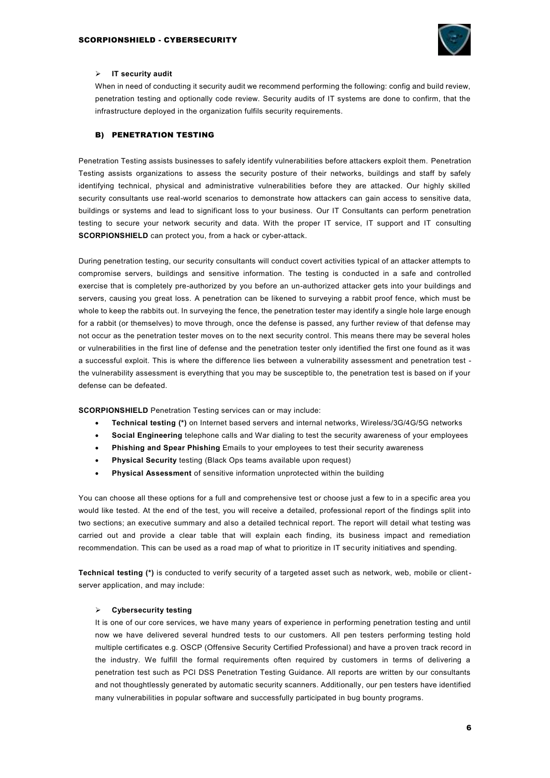

## ➢ **IT security audit**

When in need of conducting it security audit we recommend performing the following: config and build review, penetration testing and optionally code review. Security audits of IT systems are done to confirm, that the infrastructure deployed in the organization fulfils security requirements.

### B) PENETRATION TESTING

Penetration Testing assists businesses to safely identify vulnerabilities before attackers exploit them. Penetration Testing assists organizations to assess the security posture of their networks, buildings and staff by safely identifying technical, physical and administrative vulnerabilities before they are attacked. Our highly skilled security consultants use real-world scenarios to demonstrate how attackers can gain access to sensitive data, buildings or systems and lead to significant loss to your business. Our IT Consultants can perform penetration testing to secure your network security and data. With the proper IT service, IT support and IT consulting **SCORPIONSHIELD** can protect you, from a hack or cyber-attack.

During penetration testing, our security consultants will conduct covert activities typical of an attacker attempts to compromise servers, buildings and sensitive information. The testing is conducted in a safe and controlled exercise that is completely pre-authorized by you before an un-authorized attacker gets into your buildings and servers, causing you great loss. A penetration can be likened to surveying a rabbit proof fence, which must be whole to keep the rabbits out. In surveying the fence, the penetration tester may identify a single hole large enough for a rabbit (or themselves) to move through, once the defense is passed, any further review of that defense may not occur as the penetration tester moves on to the next security control. This means there may be several holes or vulnerabilities in the first line of defense and the penetration tester only identified the first one found as it was a successful exploit. This is where the difference lies between a vulnerability assessment and penetration test the vulnerability assessment is everything that you may be susceptible to, the penetration test is based on if your defense can be defeated.

**SCORPIONSHIELD** Penetration Testing services can or may include:

- **Technical testing (\*)** on Internet based servers and internal networks, Wireless/3G/4G/5G networks
- **Social Engineering** telephone calls and War dialing to test the security awareness of your employees
- **Phishing and Spear Phishing** Emails to your employees to test their security awareness
- **Physical Security** testing (Black Ops teams available upon request)
- **Physical Assessment** of sensitive information unprotected within the building

You can choose all these options for a full and comprehensive test or choose just a few to in a specific area you would like tested. At the end of the test, you will receive a detailed, professional report of the findings split into two sections; an executive summary and also a detailed technical report. The report will detail what testing was carried out and provide a clear table that will explain each finding, its business impact and remediation recommendation. This can be used as a road map of what to prioritize in IT security initiatives and spending.

**Technical testing (\*)** is conducted to verify security of a targeted asset such as network, web, mobile or clientserver application, and may include:

### ➢ **Cybersecurity testing**

It is one of our core services, we have many years of experience in performing penetration testing and until now we have delivered several hundred tests to our customers. All pen testers performing testing hold multiple certificates e.g. OSCP (Offensive Security Certified Professional) and have a proven track record in the industry. We fulfill the formal requirements often required by customers in terms of delivering a penetration test such as PCI DSS Penetration Testing Guidance. All reports are written by our consultants and not thoughtlessly generated by automatic security scanners. Additionally, our pen testers have identified many vulnerabilities in popular software and successfully participated in bug bounty programs.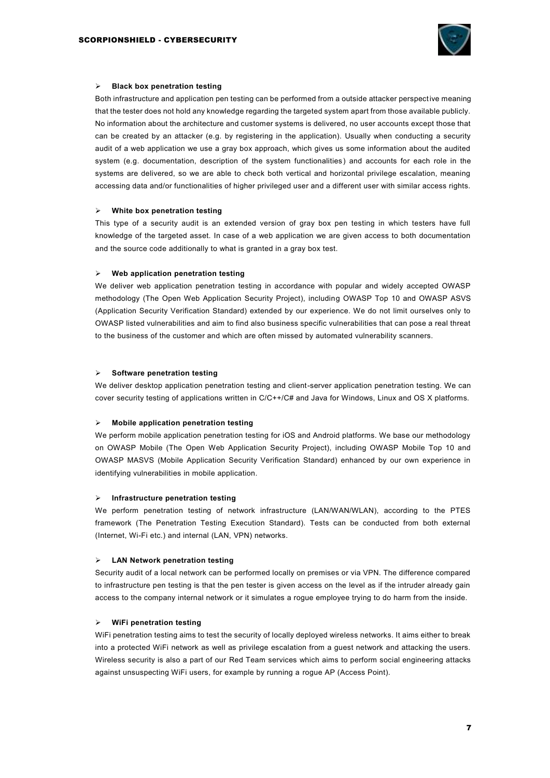

### ➢ **Black box penetration testing**

Both infrastructure and application pen testing can be performed from a outside attacker perspective meaning that the tester does not hold any knowledge regarding the targeted system apart from those available publicly. No information about the architecture and customer systems is delivered, no user accounts except those that can be created by an attacker (e.g. by registering in the application). Usually when conducting a security audit of a web application we use a gray box approach, which gives us some information about the audited system (e.g. documentation, description of the system functionalities) and accounts for each role in the systems are delivered, so we are able to check both vertical and horizontal privilege escalation, meaning accessing data and/or functionalities of higher privileged user and a different user with similar access rights.

### ➢ **White box penetration testing**

This type of a security audit is an extended version of gray box pen testing in which testers have full knowledge of the targeted asset. In case of a web application we are given access to both documentation and the source code additionally to what is granted in a gray box test.

### ➢ **Web application penetration testing**

We deliver web application penetration testing in accordance with popular and widely accepted OWASP methodology (The Open Web Application Security Project), including OWASP Top 10 and OWASP ASVS (Application Security Verification Standard) extended by our experience. We do not limit ourselves only to OWASP listed vulnerabilities and aim to find also business specific vulnerabilities that can pose a real threat to the business of the customer and which are often missed by automated vulnerability scanners.

### ➢ **Software penetration testing**

We deliver desktop application penetration testing and client-server application penetration testing. We can cover security testing of applications written in C/C++/C# and Java for Windows, Linux and OS X platforms.

#### ➢ **Mobile application penetration testing**

We perform mobile application penetration testing for iOS and Android platforms. We base our methodology on OWASP Mobile (The Open Web Application Security Project), including OWASP Mobile Top 10 and OWASP MASVS (Mobile Application Security Verification Standard) enhanced by our own experience in identifying vulnerabilities in mobile application.

#### ➢ **Infrastructure penetration testing**

We perform penetration testing of network infrastructure (LAN/WAN/WLAN), according to the PTES framework (The Penetration Testing Execution Standard). Tests can be conducted from both external (Internet, Wi-Fi etc.) and internal (LAN, VPN) networks.

### ➢ **LAN Network penetration testing**

Security audit of a local network can be performed locally on premises or via VPN. The difference compared to infrastructure pen testing is that the pen tester is given access on the level as if the intruder already gain access to the company internal network or it simulates a rogue employee trying to do harm from the inside.

## ➢ **WiFi penetration testing**

WiFi penetration testing aims to test the security of locally deployed wireless networks. It aims either to break into a protected WiFi network as well as privilege escalation from a guest network and attacking the users. Wireless security is also a part of our Red Team services which aims to perform social engineering attacks against unsuspecting WiFi users, for example by running a rogue AP (Access Point).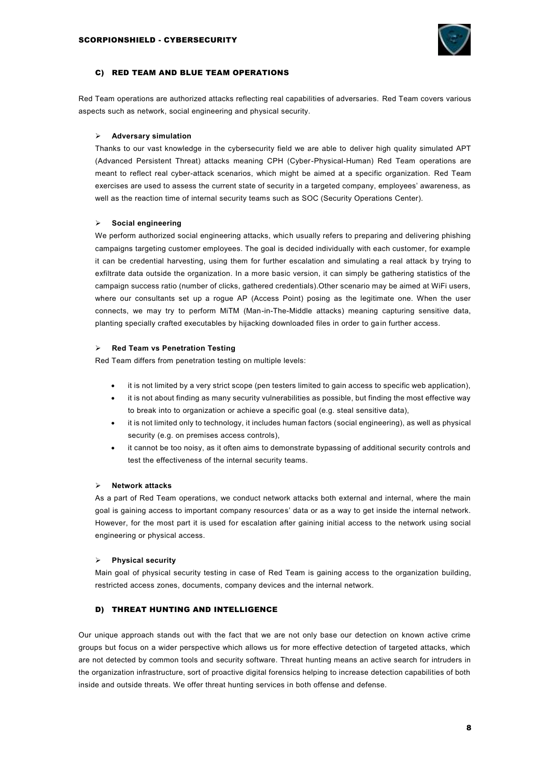

## C) RED TEAM AND BLUE TEAM OPERATIONS

Red Team operations are authorized attacks reflecting real capabilities of adversaries. Red Team covers various aspects such as network, social engineering and physical security.

### ➢ **Adversary simulation**

Thanks to our vast knowledge in the cybersecurity field we are able to deliver high quality simulated APT (Advanced Persistent Threat) attacks meaning CPH (Cyber-Physical-Human) Red Team operations are meant to reflect real cyber-attack scenarios, which might be aimed at a specific organization. Red Team exercises are used to assess the current state of security in a targeted company, employees' awareness, as well as the reaction time of internal security teams such as SOC (Security Operations Center).

### ➢ **Social engineering**

We perform authorized social engineering attacks, which usually refers to preparing and delivering phishing campaigns targeting customer employees. The goal is decided individually with each customer, for example it can be credential harvesting, using them for further escalation and simulating a real attack by trying to exfiltrate data outside the organization. In a more basic version, it can simply be gathering statistics of the campaign success ratio (number of clicks, gathered credentials).Other scenario may be aimed at WiFi users, where our consultants set up a rogue AP (Access Point) posing as the legitimate one. When the user connects, we may try to perform MiTM (Man-in-The-Middle attacks) meaning capturing sensitive data, planting specially crafted executables by hijacking downloaded files in order to gain further access.

### ➢ **Red Team vs Penetration Testing**

Red Team differs from penetration testing on multiple levels:

- it is not limited by a very strict scope (pen testers limited to gain access to specific web application),
- it is not about finding as many security vulnerabilities as possible, but finding the most effective way to break into to organization or achieve a specific goal (e.g. steal sensitive data),
- it is not limited only to technology, it includes human factors (social engineering), as well as physical security (e.g. on premises access controls),
- it cannot be too noisy, as it often aims to demonstrate bypassing of additional security controls and test the effectiveness of the internal security teams.

#### ➢ **Network attacks**

As a part of Red Team operations, we conduct network attacks both external and internal, where the main goal is gaining access to important company resources' data or as a way to get inside the internal network. However, for the most part it is used for escalation after gaining initial access to the network using social engineering or physical access.

### ➢ **Physical security**

Main goal of physical security testing in case of Red Team is gaining access to the organization building, restricted access zones, documents, company devices and the internal network.

## D) THREAT HUNTING AND INTELLIGENCE

Our unique approach stands out with the fact that we are not only base our detection on known active crime groups but focus on a wider perspective which allows us for more effective detection of targeted attacks, which are not detected by common tools and security software. Threat hunting means an active search for intruders in the organization infrastructure, sort of proactive digital forensics helping to increase detection capabilities of both inside and outside threats. We offer threat hunting services in both offense and defense.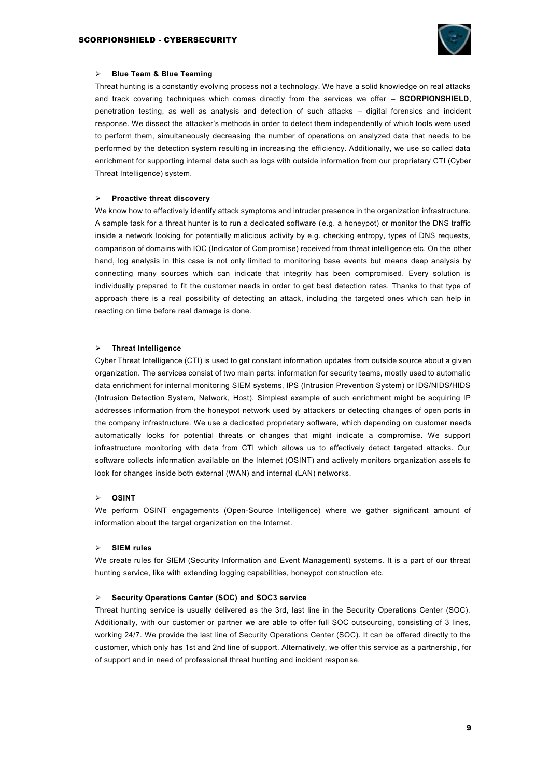

#### ➢ **Blue Team & Blue Teaming**

Threat hunting is a constantly evolving process not a technology. We have a solid knowledge on real attacks and track covering techniques which comes directly from the services we offer – **SCORPIONSHIELD**, penetration testing, as well as analysis and detection of such attacks – digital forensics and incident response. We dissect the attacker's methods in order to detect them independently of which tools were used to perform them, simultaneously decreasing the number of operations on analyzed data that needs to be performed by the detection system resulting in increasing the efficiency. Additionally, we use so called data enrichment for supporting internal data such as logs with outside information from our proprietary CTI (Cyber Threat Intelligence) system.

#### ➢ **Proactive threat discovery**

We know how to effectively identify attack symptoms and intruder presence in the organization infrastructure. A sample task for a threat hunter is to run a dedicated software (e.g. a honeypot) or monitor the DNS traffic inside a network looking for potentially malicious activity by e.g. checking entropy, types of DNS requests, comparison of domains with IOC (Indicator of Compromise) received from threat intelligence etc. On the other hand, log analysis in this case is not only limited to monitoring base events but means deep analysis by connecting many sources which can indicate that integrity has been compromised. Every solution is individually prepared to fit the customer needs in order to get best detection rates. Thanks to that type of approach there is a real possibility of detecting an attack, including the targeted ones which can help in reacting on time before real damage is done.

#### ➢ **Threat Intelligence**

Cyber Threat Intelligence (CTI) is used to get constant information updates from outside source about a given organization. The services consist of two main parts: information for security teams, mostly used to automatic data enrichment for internal monitoring SIEM systems, IPS (Intrusion Prevention System) or IDS/NIDS/HIDS (Intrusion Detection System, Network, Host). Simplest example of such enrichment might be acquiring IP addresses information from the honeypot network used by attackers or detecting changes of open ports in the company infrastructure. We use a dedicated proprietary software, which depending on customer needs automatically looks for potential threats or changes that might indicate a compromise. We support infrastructure monitoring with data from CTI which allows us to effectively detect targeted attacks. Our software collects information available on the Internet (OSINT) and actively monitors organization assets to look for changes inside both external (WAN) and internal (LAN) networks.

#### ➢ **OSINT**

We perform OSINT engagements (Open-Source Intelligence) where we gather significant amount of information about the target organization on the Internet.

#### ➢ **SIEM rules**

We create rules for SIEM (Security Information and Event Management) systems. It is a part of our threat hunting service, like with extending logging capabilities, honeypot construction etc.

#### ➢ **Security Operations Center (SOC) and SOC3 service**

Threat hunting service is usually delivered as the 3rd, last line in the Security Operations Center (SOC). Additionally, with our customer or partner we are able to offer full SOC outsourcing, consisting of 3 lines, working 24/7. We provide the last line of Security Operations Center (SOC). It can be offered directly to the customer, which only has 1st and 2nd line of support. Alternatively, we offer this service as a partnership , for of support and in need of professional threat hunting and incident response.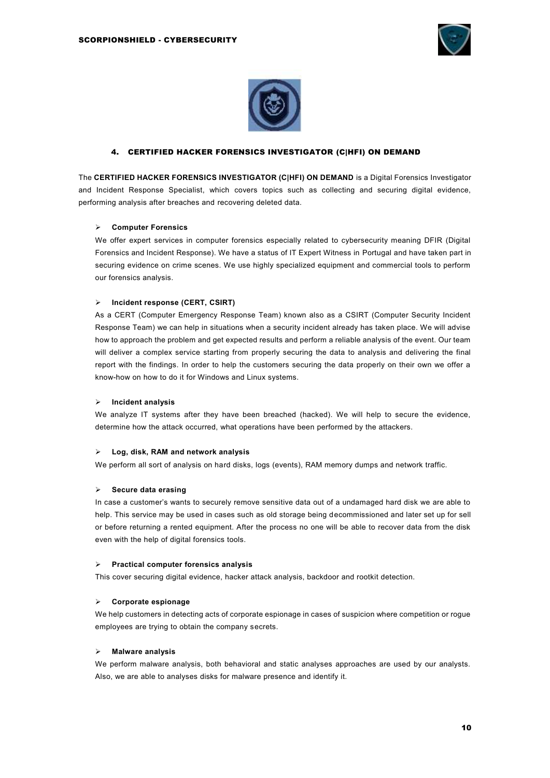



## 4. CERTIFIED HACKER FORENSICS INVESTIGATOR (C|HFI) ON DEMAND

The **CERTIFIED HACKER FORENSICS INVESTIGATOR (C|HFI) ON DEMAND** is a Digital Forensics Investigator and Incident Response Specialist, which covers topics such as collecting and securing digital evidence, performing analysis after breaches and recovering deleted data.

### ➢ **Computer Forensics**

We offer expert services in computer forensics especially related to cybersecurity meaning DFIR (Digital Forensics and Incident Response). We have a status of IT Expert Witness in Portugal and have taken part in securing evidence on crime scenes. We use highly specialized equipment and commercial tools to perform our forensics analysis.

### ➢ **Incident response (CERT, CSIRT)**

As a CERT (Computer Emergency Response Team) known also as a CSIRT (Computer Security Incident Response Team) we can help in situations when a security incident already has taken place. We will advise how to approach the problem and get expected results and perform a reliable analysis of the event. Our team will deliver a complex service starting from properly securing the data to analysis and delivering the final report with the findings. In order to help the customers securing the data properly on their own we offer a know-how on how to do it for Windows and Linux systems.

## ➢ **Incident analysis**

We analyze IT systems after they have been breached (hacked). We will help to secure the evidence, determine how the attack occurred, what operations have been performed by the attackers.

#### ➢ **Log, disk, RAM and network analysis**

We perform all sort of analysis on hard disks, logs (events), RAM memory dumps and network traffic.

### ➢ **Secure data erasing**

In case a customer's wants to securely remove sensitive data out of a undamaged hard disk we are able to help. This service may be used in cases such as old storage being decommissioned and later set up for sell or before returning a rented equipment. After the process no one will be able to recover data from the disk even with the help of digital forensics tools.

#### ➢ **Practical computer forensics analysis**

This cover securing digital evidence, hacker attack analysis, backdoor and rootkit detection.

### ➢ **Corporate espionage**

We help customers in detecting acts of corporate espionage in cases of suspicion where competition or rogue employees are trying to obtain the company secrets.

## ➢ **Malware analysis**

We perform malware analysis, both behavioral and static analyses approaches are used by our analysts. Also, we are able to analyses disks for malware presence and identify it.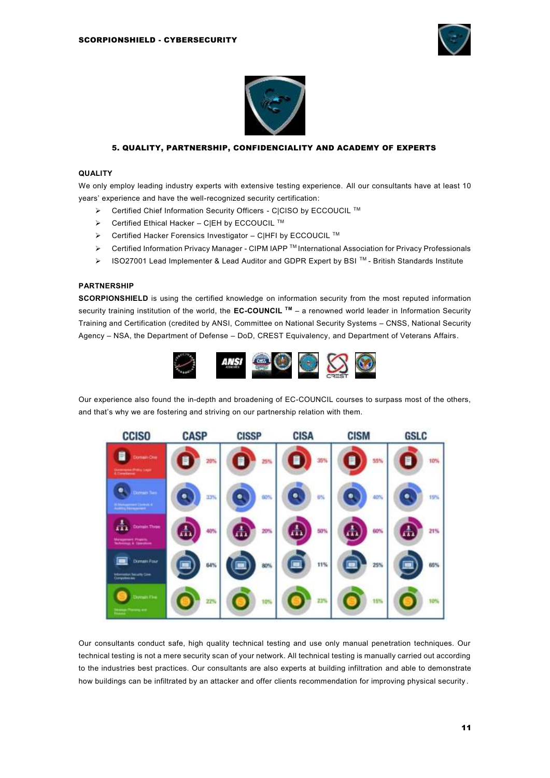



## 5. QUALITY, PARTNERSHIP, CONFIDENCIALITY AND ACADEMY OF EXPERTS

## **QUALITY**

We only employ leading industry experts with extensive testing experience. All our consultants have at least 10 years' experience and have the well-recognized security certification:

- ➢ Certified Chief Information Security Officers C|CISO by ECCOUCIL TM
- ➢ Certified Ethical Hacker C|EH by ECCOUCIL TM
- ➢ Certified Hacker Forensics Investigator C|HFI by ECCOUCIL TM
- ➢ Certified Information Privacy Manager CIPM IAPP TM International Association for Privacy Professionals
- ➢ ISO27001 Lead Implementer & Lead Auditor and GDPR Expert by BSI TM British Standards Institute

#### **PARTNERSHIP**

**SCORPIONSHIELD** is using the certified knowledge on information security from the most reputed information security training institution of the world, the **EC-COUNCIL TM** – a renowned world leader in Information Security Training and Certification (credited by ANSI, Committee on National Security Systems – CNSS, National Security Agency – NSA, the Department of Defense – DoD, CREST Equivalency, and Department of Veterans Affairs.



Our experience also found the in-depth and broadening of EC-COUNCIL courses to surpass most of the others, and that's why we are fostering and striving on our partnership relation with them.



Our consultants conduct safe, high quality technical testing and use only manual penetration techniques. Our technical testing is not a mere security scan of your network. All technical testing is manually carried out according to the industries best practices. Our consultants are also experts at building infiltration and able to demonstrate how buildings can be infiltrated by an attacker and offer clients recommendation for improving physical security .